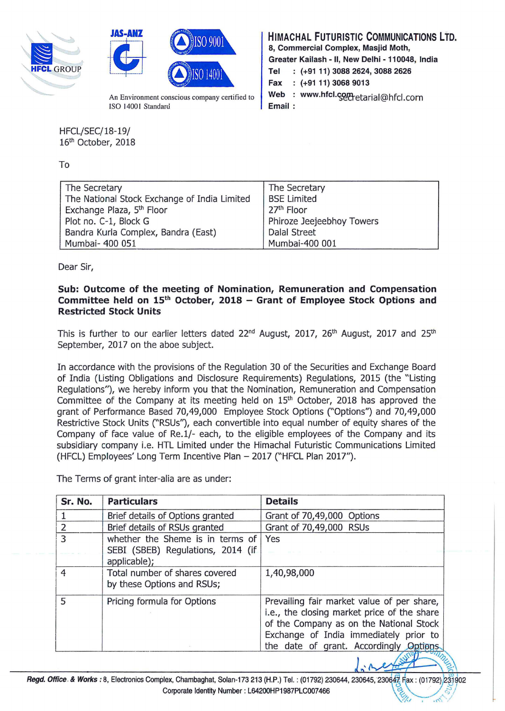



An Environment conscious company certified to ISO 14001 Standard

HFCL/SEC/18-19/ 16<sup>th</sup> October, 2018

To

| HIMACHAL FUTURISTIC COMMUNICATIONS LTD.         |                                     |  |  |  |  |
|-------------------------------------------------|-------------------------------------|--|--|--|--|
|                                                 | 8, Commercial Complex, Masjid Moth, |  |  |  |  |
| Greater Kailash - II, New Delhi - 110048, India |                                     |  |  |  |  |
|                                                 | Tel : (+91 11) 3088 2624, 3088 2626 |  |  |  |  |
|                                                 | Fax : (+91 11) 3068 9013            |  |  |  |  |
|                                                 | web : www.hfcl.com                  |  |  |  |  |
|                                                 |                                     |  |  |  |  |

| The Secretary                                | The Secretary             |
|----------------------------------------------|---------------------------|
| The National Stock Exchange of India Limited | <b>BSE Limited</b>        |
| Exchange Plaza, 5 <sup>th</sup> Floor        | 27 <sup>th</sup> Floor    |
| Plot no. C-1, Block G                        | Phiroze Jeejeebhoy Towers |
| Bandra Kurla Complex, Bandra (East)          | <b>Dalal Street</b>       |
| Mumbai- 400 051                              | Mumbai-400 001            |

Dear Sir,

## Sub: Outcome of the meeting of Nomination, Remuneration and Compensation Committee held on  $15<sup>th</sup>$  October, 2018 – Grant of Employee Stock Options and Restricted Stock Units

This is further to our earlier letters dated 22<sup>nd</sup> August, 2017, 26<sup>th</sup> August, 2017 and 25<sup>th</sup> September, 2017 on the aboe subject.

In accordance with the provisions of the Regulation 30 of the Securities and Exchange Board of India (Listing Obligations and Disclosure Requirements) Regulations, 2015 (the "Listing Regulations"), we hereby inform you that the Nomination, Remuneration and Compensation Committee of the Company at its meeting held on 15<sup>th</sup> October, 2018 has approved the grant of Performance Based 70,49,000 Employee Stock Options ("Options") and 70,49,000 Restrictive Stock Units ("RSUs"), each convertible into equal number of equity shares of the Company of face value of Re.1/- each, to the eligible employees of the Company and its subsidiary company i.e. HTL Limited under the Himachal Futuristic Communications Limited (HFCL) Employees' Long Term Incentive Plan - 2017 ("HFCL Plan 2017").

The Terms of grant inter-alia are as under:

| Sr. No.        | <b>Particulars</b>                                                                    | <b>Details</b>                                                                                                                                                                                                            |
|----------------|---------------------------------------------------------------------------------------|---------------------------------------------------------------------------------------------------------------------------------------------------------------------------------------------------------------------------|
|                | Brief details of Options granted                                                      | Grant of 70,49,000 Options                                                                                                                                                                                                |
| $\overline{2}$ | Brief details of RSUs granted                                                         | Grant of 70,49,000 RSUs                                                                                                                                                                                                   |
| $\overline{3}$ | whether the Sheme is in terms of<br>SEBI (SBEB) Regulations, 2014 (if<br>applicable); | Yes                                                                                                                                                                                                                       |
| 4              | Total number of shares covered<br>by these Options and RSUs;                          | 1,40,98,000                                                                                                                                                                                                               |
| 5              | Pricing formula for Options                                                           | Prevailing fair market value of per share,<br>i.e., the closing market price of the share<br>of the Company as on the National Stock<br>Exchange of India immediately prior to<br>the date of grant. Accordingly Options. |

 $\frac{1}{2}$ Regd. Office & Works: 8, Electronics Complex, Chambaghat, Solan-173 213 (H.P.) Tel. : (01792) 230644, 230645, 230647 Fax: (01792) 231902<br>Corporate Identity Number: L64200HP1987PLC007466  $\frac{1}{2}$  .  $\frac{1}{2}$